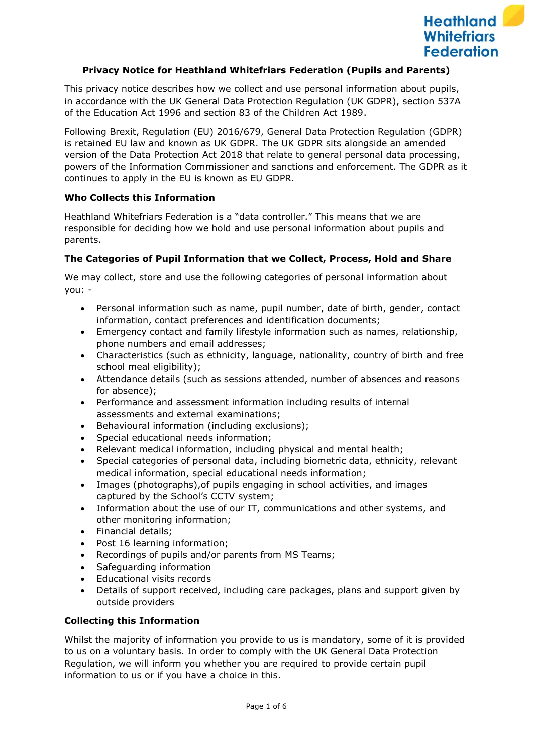

### **Privacy Notice for Heathland Whitefriars Federation (Pupils and Parents)**

This privacy notice describes how we collect and use personal information about pupils, in accordance with the UK General Data Protection Regulation (UK GDPR), section 537A of the Education Act 1996 and section 83 of the Children Act 1989.

Following Brexit, Regulation (EU) 2016/679, General Data Protection Regulation (GDPR) is retained EU law and known as UK GDPR. The UK GDPR sits alongside an amended version of the Data Protection Act 2018 that relate to general personal data processing, powers of the Information Commissioner and sanctions and enforcement. The GDPR as it continues to apply in the EU is known as EU GDPR.

### **Who Collects this Information**

Heathland Whitefriars Federation is a "data controller." This means that we are responsible for deciding how we hold and use personal information about pupils and parents.

### **The Categories of Pupil Information that we Collect, Process, Hold and Share**

We may collect, store and use the following categories of personal information about you: -

- Personal information such as name, pupil number, date of birth, gender, contact information, contact preferences and identification documents;
- Emergency contact and family lifestyle information such as names, relationship, phone numbers and email addresses;
- Characteristics (such as ethnicity, language, nationality, country of birth and free school meal eligibility);
- Attendance details (such as sessions attended, number of absences and reasons for absence);
- Performance and assessment information including results of internal assessments and external examinations;
- Behavioural information (including exclusions);
- Special educational needs information;
- Relevant medical information, including physical and mental health;
- Special categories of personal data, including biometric data, ethnicity, relevant medical information, special educational needs information;
- Images (photographs),of pupils engaging in school activities, and images captured by the School's CCTV system;
- Information about the use of our IT, communications and other systems, and other monitoring information;
- Financial details;
- Post 16 learning information;
- Recordings of pupils and/or parents from MS Teams;
- Safeguarding information
- Educational visits records
- Details of support received, including care packages, plans and support given by outside providers

#### **Collecting this Information**

Whilst the majority of information you provide to us is mandatory, some of it is provided to us on a voluntary basis. In order to comply with the UK General Data Protection Regulation, we will inform you whether you are required to provide certain pupil information to us or if you have a choice in this.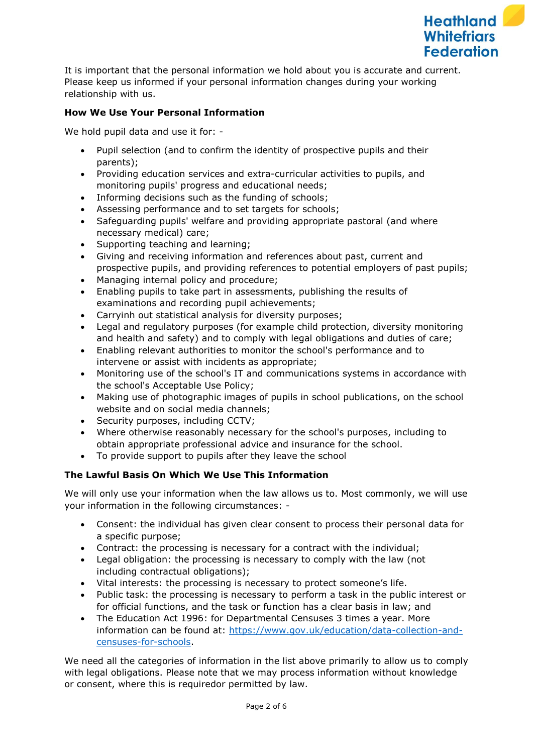

It is important that the personal information we hold about you is accurate and current. Please keep us informed if your personal information changes during your working relationship with us.

# **How We Use Your Personal Information**

We hold pupil data and use it for: -

- Pupil selection (and to confirm the identity of prospective pupils and their parents);
- Providing education services and extra-curricular activities to pupils, and monitoring pupils' progress and educational needs;
- Informing decisions such as the funding of schools;
- Assessing performance and to set targets for schools;
- Safeguarding pupils' welfare and providing appropriate pastoral (and where necessary medical) care;
- Supporting teaching and learning;
- Giving and receiving information and references about past, current and prospective pupils, and providing references to potential employers of past pupils;
- Managing internal policy and procedure;
- Enabling pupils to take part in assessments, publishing the results of examinations and recording pupil achievements;
- Carryinh out statistical analysis for diversity purposes;
- Legal and regulatory purposes (for example child protection, diversity monitoring and health and safety) and to comply with legal obligations and duties of care;
- Enabling relevant authorities to monitor the school's performance and to intervene or assist with incidents as appropriate;
- Monitoring use of the school's IT and communications systems in accordance with the school's Acceptable Use Policy;
- Making use of photographic images of pupils in school publications, on the school website and on social media channels;
- Security purposes, including CCTV;
- Where otherwise reasonably necessary for the school's purposes, including to obtain appropriate professional advice and insurance for the school.
- To provide support to pupils after they leave the school

# **The Lawful Basis On Which We Use This Information**

We will only use your information when the law allows us to. Most commonly, we will use your information in the following circumstances: -

- Consent: the individual has given clear consent to process their personal data for a specific purpose;
- Contract: the processing is necessary for a contract with the individual;
- Legal obligation: the processing is necessary to comply with the law (not including contractual obligations);
- Vital interests: the processing is necessary to protect someone's life.
- Public task: the processing is necessary to perform a task in the public interest or for official functions, and the task or function has a clear basis in law; and
- The Education Act 1996: for Departmental Censuses 3 times a year. More information can be found at: [https://www.gov.uk/education/data-collection-and](https://www.gov.uk/education/data-collection-and-censuses-for-schools)[censuses-for-schools.](https://www.gov.uk/education/data-collection-and-censuses-for-schools)

We need all the categories of information in the list above primarily to allow us to comply with legal obligations. Please note that we may process information without knowledge or consent, where this is requiredor permitted by law.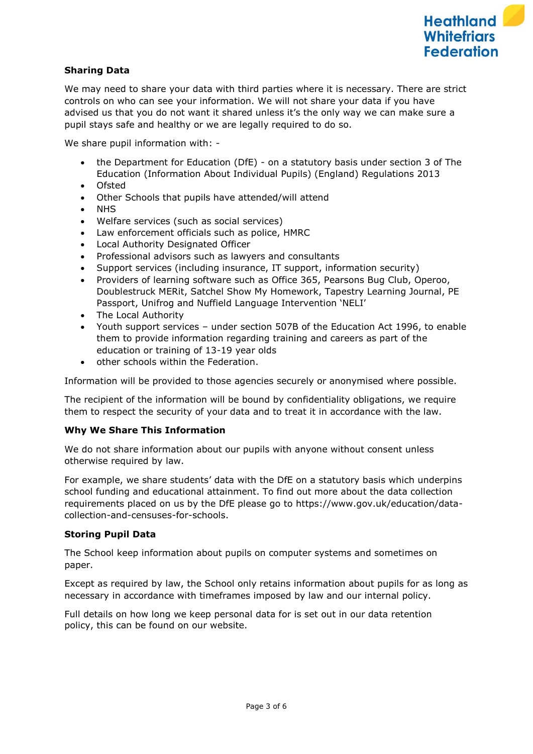# **Sharing Data**

We may need to share your data with third parties where it is necessary. There are strict controls on who can see your information. We will not share your data if you have advised us that you do not want it shared unless it's the only way we can make sure a pupil stays safe and healthy or we are legally required to do so.

We share pupil information with: -

- the Department for Education (DfE) on a statutory basis under section 3 of The Education (Information About Individual Pupils) (England) Regulations 2013
- Ofsted
- Other Schools that pupils have attended/will attend
- NHS
- Welfare services (such as social services)
- Law enforcement officials such as police, HMRC
- Local Authority Designated Officer
- Professional advisors such as lawyers and consultants
- Support services (including insurance, IT support, information security)
- Providers of learning software such as Office 365, Pearsons Bug Club, Operoo, Doublestruck MERit, Satchel Show My Homework, Tapestry Learning Journal, PE Passport, Unifrog and Nuffield Language Intervention 'NELI'
- The Local Authority
- Youth support services under section 507B of the Education Act 1996, to enable them to provide information regarding training and careers as part of the education or training of 13-19 year olds
- other schools within the Federation.

Information will be provided to those agencies securely or anonymised where possible.

The recipient of the information will be bound by confidentiality obligations, we require them to respect the security of your data and to treat it in accordance with the law.

# **Why We Share This Information**

We do not share information about our pupils with anyone without consent unless otherwise required by law.

For example, we share students' data with the DfE on a statutory basis which underpins school funding and educational attainment. To find out more about the data collection requirements placed on us by the DfE please go to https://www.gov.uk/education/datacollection-and-censuses-for-schools.

# **Storing Pupil Data**

The School keep information about pupils on computer systems and sometimes on paper.

Except as required by law, the School only retains information about pupils for as long as necessary in accordance with timeframes imposed by law and our internal policy.

Full details on how long we keep personal data for is set out in our data retention policy, this can be found on our website.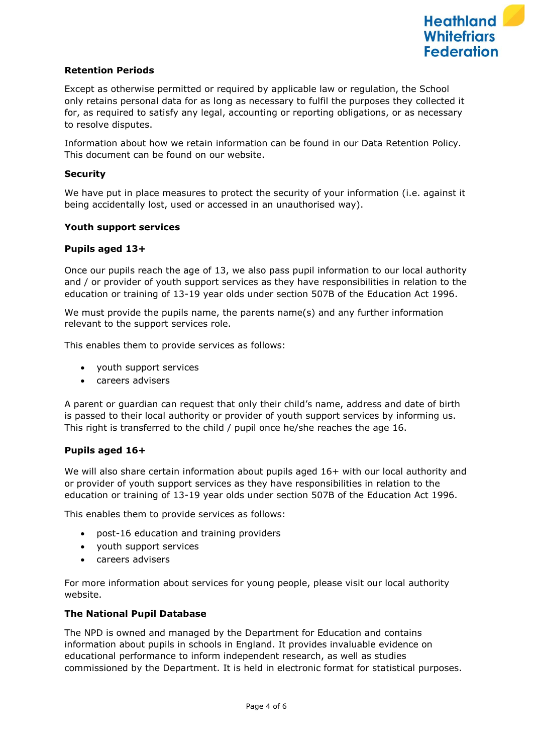

# **Retention Periods**

Except as otherwise permitted or required by applicable law or regulation, the School only retains personal data for as long as necessary to fulfil the purposes they collected it for, as required to satisfy any legal, accounting or reporting obligations, or as necessary to resolve disputes.

Information about how we retain information can be found in our Data Retention Policy. This document can be found on our website.

#### **Security**

We have put in place measures to protect the security of your information (i.e. against it being accidentally lost, used or accessed in an unauthorised way).

#### **Youth support services**

#### **Pupils aged 13+**

Once our pupils reach the age of 13, we also pass pupil information to our local authority and / or provider of youth support services as they have responsibilities in relation to the education or training of 13-19 year olds under section 507B of the Education Act 1996.

We must provide the pupils name, the parents name(s) and any further information relevant to the support services role.

This enables them to provide services as follows:

- youth support services
- careers advisers

A parent or guardian can request that only their child's name, address and date of birth is passed to their local authority or provider of youth support services by informing us. This right is transferred to the child / pupil once he/she reaches the age 16.

#### **Pupils aged 16+**

We will also share certain information about pupils aged 16+ with our local authority and or provider of youth support services as they have responsibilities in relation to the education or training of 13-19 year olds under section 507B of the Education Act 1996.

This enables them to provide services as follows:

- post-16 education and training providers
- youth support services
- careers advisers

For more information about services for young people, please visit our local authority website.

### **The National Pupil Database**

The NPD is owned and managed by the Department for Education and contains information about pupils in schools in England. It provides invaluable evidence on educational performance to inform independent research, as well as studies commissioned by the Department. It is held in electronic format for statistical purposes.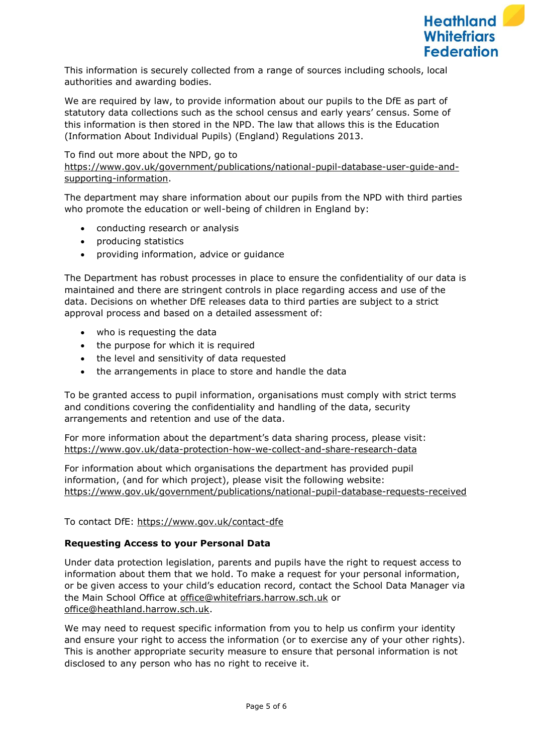This information is securely collected from a range of sources including schools, local authorities and awarding bodies.

We are required by law, to provide information about our pupils to the DfE as part of statutory data collections such as the school census and early years' census. Some of this information is then stored in the NPD. The law that allows this is the Education (Information About Individual Pupils) (England) Regulations 2013.

# To find out more about the NPD, go to

[https://www.gov.uk/government/publications/national-pupil-database-user-guide-and](https://www.gov.uk/government/publications/national-pupil-database-user-guide-and-supporting-information)[supporting-information.](https://www.gov.uk/government/publications/national-pupil-database-user-guide-and-supporting-information)

The department may share information about our pupils from the NPD with third parties who promote the education or well-being of children in England by:

- conducting research or analysis
- producing statistics
- providing information, advice or guidance

The Department has robust processes in place to ensure the confidentiality of our data is maintained and there are stringent controls in place regarding access and use of the data. Decisions on whether DfE releases data to third parties are subject to a strict approval process and based on a detailed assessment of:

- who is requesting the data
- the purpose for which it is required
- the level and sensitivity of data requested
- the arrangements in place to store and handle the data

To be granted access to pupil information, organisations must comply with strict terms and conditions covering the confidentiality and handling of the data, security arrangements and retention and use of the data.

For more information about the department's data sharing process, please visit: <https://www.gov.uk/data-protection-how-we-collect-and-share-research-data>

For information about which organisations the department has provided pupil information, (and for which project), please visit the following website: <https://www.gov.uk/government/publications/national-pupil-database-requests-received>

To contact DfE:<https://www.gov.uk/contact-dfe>

#### **Requesting Access to your Personal Data**

Under data protection legislation, parents and pupils have the right to request access to information about them that we hold. To make a request for your personal information, or be given access to your child's education record, contact the School Data Manager via the Main School Office at [office@whitefriars.harrow.sch.uk](mailto:office@whitefriars.harrow.sch.uk) or [office@heathland.harrow.sch.uk.](mailto:office@heathland.harrow.sch.uk)

We may need to request specific information from you to help us confirm your identity and ensure your right to access the information (or to exercise any of your other rights). This is another appropriate security measure to ensure that personal information is not disclosed to any person who has no right to receive it.